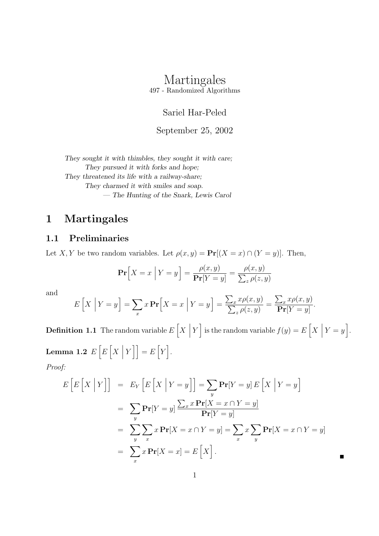# Martingales

497 - Randomized Algorithms

Sariel Har-Peled

September 25, 2002

They sought it with thimbles, they sought it with care; They pursued it with forks and hope; They threatened its life with a railway-share; They charmed it with smiles and soap. — The Hunting of the Snark, Lewis Carol

### 1 Martingales

#### 1.1 Preliminaries

Let X, Y be two random variables. Let  $\rho(x, y) = \Pr[(X = x) \cap (Y = y)]$ . Then,

$$
\Pr\left[X = x \mid Y = y\right] = \frac{\rho(x, y)}{\Pr[Y = y]} = \frac{\rho(x, y)}{\sum_{z} \rho(z, y)}
$$

and

$$
E\left[X \mid Y=y\right] = \sum_{x} x \mathbf{Pr}\left[X=x \mid Y=y\right] = \frac{\sum_{x} x \rho(x,y)}{\sum_{z} \rho(z,y)} = \frac{\sum_{x} x \rho(x,y)}{\mathbf{Pr}[Y=y]}.
$$

**Definition 1.1** The random variable  $E[X]$  $Y$  is the random variable  $f(y) = E\left[X \mid \right]$  $Y=y$ . Lemma 1.2  $E\left[E\left[X\right]\right]$  $Y$ ] =  $E[Y]$ .

Proof:

$$
E\left[E\left[X \mid Y\right]\right] = E_Y\left[E\left[X \mid Y=y\right]\right] = \sum_{y} \mathbf{Pr}[Y=y] E\left[X \mid Y=y\right]
$$

$$
= \sum_{y} \mathbf{Pr}[Y=y] \frac{\sum_{x} x \mathbf{Pr}[X=x \cap Y=y]}{\mathbf{Pr}[Y=y]}
$$

$$
= \sum_{y} \sum_{x} x \mathbf{Pr}[X=x \cap Y=y] = \sum_{x} x \sum_{y} \mathbf{Pr}[X=x \cap Y=y]
$$

$$
= \sum_{x} x \mathbf{Pr}[X=x] = E\left[X\right].
$$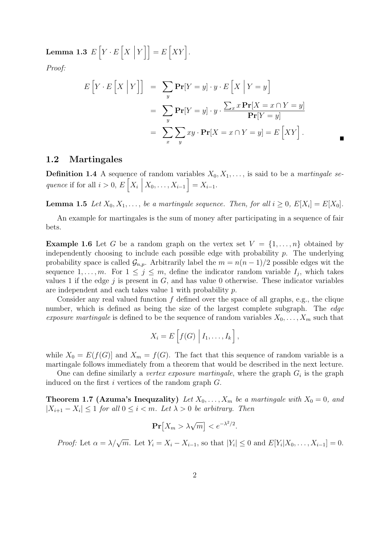Lemma 1.3  $E\left[Y\cdot E\left[X\right]\right]$  $Y$ ] =  $E[XY]$ .

Proof:

$$
E\left[Y \cdot E\left[X \mid Y\right]\right] = \sum_{y} \mathbf{Pr}[Y = y] \cdot y \cdot E\left[X \mid Y = y\right]
$$

$$
= \sum_{y} \mathbf{Pr}[Y = y] \cdot y \cdot \frac{\sum_{x} x \mathbf{Pr}[X = x \cap Y = y]}{\mathbf{Pr}[Y = y]}
$$

$$
= \sum_{x} \sum_{y} xy \cdot \mathbf{Pr}[X = x \cap Y = y] = E\left[XY\right].
$$

#### 1.2 Martingales

**Definition 1.4** A sequence of random variables  $X_0, X_1, \ldots$ , is said to be a martingale sequence if for all  $i > 0$ ,  $E[X_i]$  $X_0, \ldots, X_{i-1}$  =  $X_{i-1}$ .

**Lemma 1.5** Let  $X_0, X_1, \ldots$ , be a martingale sequence. Then, for all  $i \geq 0$ ,  $E[X_i] = E[X_0]$ .

An example for martingales is the sum of money after participating in a sequence of fair bets.

**Example 1.6** Let G be a random graph on the vertex set  $V = \{1, \ldots, n\}$  obtained by independently choosing to include each possible edge with probability  $p$ . The underlying probability space is called  $\mathcal{G}_{n,p}$ . Arbitrarily label the  $m = n(n-1)/2$  possible edges wit the sequence  $1, \ldots, m$ . For  $1 \leq j \leq m$ , define the indicator random variable  $I_j$ , which takes values 1 if the edge  $j$  is present in  $G$ , and has value 0 otherwise. These indicator variables are independent and each takes value 1 with probability p.

Consider any real valued function  $f$  defined over the space of all graphs, e.g., the clique number, which is defined as being the size of the largest complete subgraph. The *edge* exposure martingale is defined to be the sequence of random variables  $X_0, \ldots, X_m$  such that

$$
X_i = E\left[f(G) \mid I_1, \ldots, I_k\right],
$$

while  $X_0 = E(f(G))$  and  $X_m = f(G)$ . The fact that this sequence of random variable is a martingale follows immediately from a theorem that would be described in the next lecture.

One can define similarly a *vertex exposure martingale*, where the graph  $G_i$  is the graph induced on the first  $i$  vertices of the random graph  $G$ .

**Theorem 1.7 (Azuma's Inequzality)** Let  $X_0, \ldots, X_m$  be a martingale with  $X_0 = 0$ , and  $|X_{i+1}-X_i|\leq 1$  for all  $0\leq i < m$ . Let  $\lambda > 0$  be arbitrary. Then

$$
\Pr[X_m > \lambda \sqrt{m}] < e^{-\lambda^2/2}.
$$

Proof: Let  $\alpha = \lambda/\sqrt{m}$ . Let  $Y_i = X_i - X_{i-1}$ , so that  $|Y_i| \leq 0$  and  $E[Y_i|X_0, \ldots, X_{i-1}] = 0$ .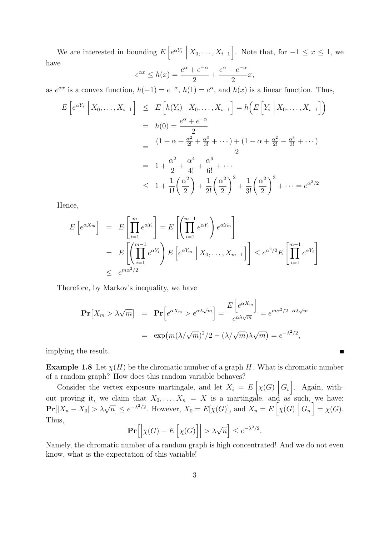We are interested in bounding  $E\left[e^{\alpha Y_i}\right]$  $X_0, \ldots, X_{i-1}$ . Note that, for  $-1 \leq x \leq 1$ , we have

$$
e^{\alpha x} \le h(x) = \frac{e^{\alpha} + e^{-\alpha}}{2} + \frac{e^{\alpha} - e^{-\alpha}}{2}x,
$$

as  $e^{\alpha x}$  is a convex function,  $h(-1) = e^{-\alpha}$ ,  $h(1) = e^{\alpha}$ , and  $h(x)$  is a linear function. Thus,

$$
E\left[e^{\alpha Y_i} \middle| X_0, \dots, X_{i-1}\right] \leq E\left[h(Y_i) \middle| X_0, \dots, X_{i-1}\right] = h\left(E\left[Y_i \middle| X_0, \dots, X_{i-1}\right]\right)
$$
  
=  $h(0) = \frac{e^{\alpha} + e^{-\alpha}}{2}$   
=  $\frac{(1 + \alpha + \frac{\alpha^2}{2!} + \frac{\alpha^3}{3!} + \dots) + (1 - \alpha + \frac{\alpha^2}{2!} - \frac{\alpha^3}{3!} + \dots)}{2}$   
=  $1 + \frac{\alpha^2}{2} + \frac{\alpha^4}{4!} + \frac{\alpha^6}{6!} + \dots$   
 $\leq 1 + \frac{1}{1!} \left(\frac{\alpha^2}{2}\right) + \frac{1}{2!} \left(\frac{\alpha^2}{2}\right)^2 + \frac{1}{3!} \left(\frac{\alpha^2}{2}\right)^3 + \dots = e^{\alpha^2/2}$ 

Hence,

$$
E\left[e^{\alpha X_m}\right] = E\left[\prod_{i=1}^m e^{\alpha Y_i}\right] = E\left[\left(\prod_{i=1}^{m-1} e^{\alpha Y_i}\right) e^{\alpha Y_m}\right]
$$
  
= 
$$
E\left[\left(\prod_{i=1}^{m-1} e^{\alpha Y_i}\right) E\left[e^{\alpha Y_m} \mid X_0, \dots, X_{m-1}\right]\right] \leq e^{\alpha^2/2} E\left[\prod_{i=1}^{m-1} e^{\alpha Y_i}\right]
$$
  

$$
\leq e^{m\alpha^2/2}
$$

Therefore, by Markov's inequality, we have

$$
\mathbf{Pr}\left[X_m > \lambda\sqrt{m}\right] = \mathbf{Pr}\left[e^{\alpha X_m} > e^{\alpha\lambda\sqrt{m}}\right] = \frac{E\left[e^{\alpha X_m}\right]}{e^{\alpha\lambda\sqrt{m}}} = e^{m\alpha^2/2 - \alpha\lambda\sqrt{m}}
$$

$$
= \exp\left(m(\lambda/\sqrt{m})^2/2 - (\lambda/\sqrt{m})\lambda\sqrt{m}\right) = e^{-\lambda^2/2},
$$

implying the result.

**Example 1.8** Let  $\chi(H)$  be the chromatic number of a graph H. What is chromatic number of a random graph? How does this random variable behaves?

Consider the vertex exposure martingale, and let  $X_i = E\left[\chi(G) \right]$  $G_i$ . Again, without proving it, we claim that  $X_0, \ldots, X_n = X$  is a martingale, and as such, we have:  $\Pr[|X_n - X_0| > \lambda \sqrt{n}] \le e^{-\lambda^2/2}$ . However,  $X_0 = E[\chi(G)]$ , and  $X_n = E[\chi(G)]$  $G_n$  =  $\chi(G)$ . Thus,

$$
\mathbf{Pr}\Big[\Big|\chi(G) - E\left[\chi(G)\right]\Big| > \lambda\sqrt{n}\Big] \le e^{-\lambda^2/2}.
$$

Namely, the chromatic number of a random graph is high concentrated! And we do not even know, what is the expectation of this variable!